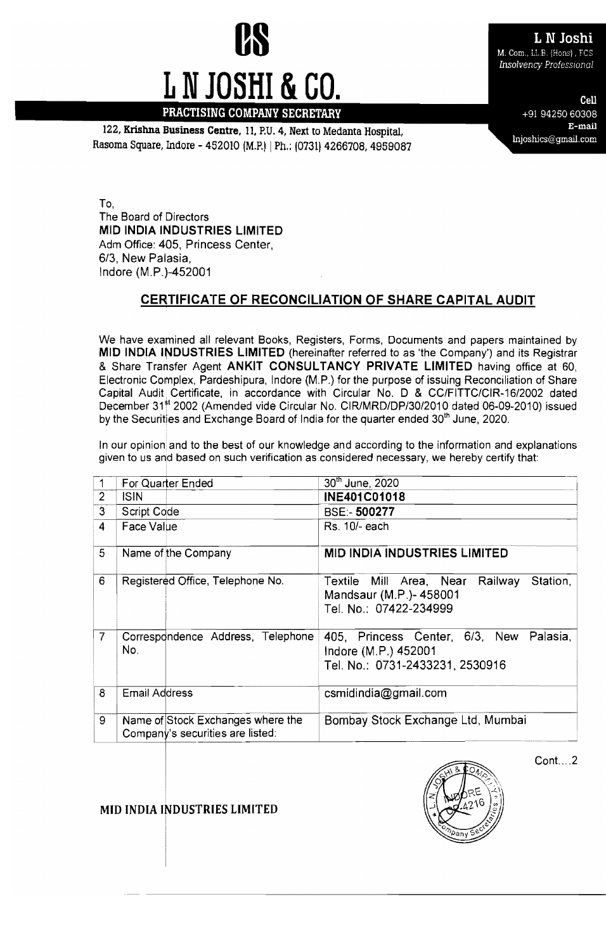# **US LAN JOShi M. Com., LL.B. (Hons)**, FCS L N JOSHI & CO.

Insolvency Professional

E-mail 122. **Krishna Business Centre**, 11, P.U. 4, Next to Medanta Hospital, **Rasoma Square, Indore - 452010 (M.P.I**) | Ph.: (0731) 4266708, 4959087

+91 94250 60308

To, The Board of Directors **MID INDIA INDUSTRIES LIMITED**  Adm Office: 405, Princess Center, *6/3,* New Palasia, Indore (M.P.)-452001

## **CERTIFICATE OF RECONCILIATION OF SHARE CAPITAL AUDIT**

We have examined all relevant Books, Registers, Forms. Documents and papers maintained by **MID INDIA INDUSTRIES LIMITED** (hereinafter referred to as 'the Company') and its Registrar & Share Trarnsfer Agent **ANKIT CONSULTANCY PRIVATE LIMITED** having office at 60. Electronic Complex. Pardeshipura, Indore (M.P.) for the purpose of issuing Reconciliation of Share Capital Audit Certificate, in accordance with Circular No. D & CC/FITTC/CIR-16/2002 dated December 31<sup>st</sup> 2002 (Amended vide Circular No. CIR/MRD/DP/30/2010 dated 06-09-2010) issued by the Securities and Exchange Board of India for the quarter ended 30<sup>th</sup> June, 2020.

In our opinion and to the best of our knowledge and according to the information and explanations given to us and based on such verification as considered necessary, we hereby certify that:

|                | For Quarter Ended                                                     | 30th June, 2020                                                                                    |
|----------------|-----------------------------------------------------------------------|----------------------------------------------------------------------------------------------------|
| $\overline{2}$ | <b>ISIN</b>                                                           | <b>INE401C01018</b>                                                                                |
| 3              | Script Code                                                           | <b>BSE:-500277</b>                                                                                 |
| $\overline{4}$ | Face Value                                                            | Rs. 10/- each                                                                                      |
| 5              | Name of the Company                                                   | <b>MID INDIA INDUSTRIES LIMITED</b>                                                                |
| 6              | Registered Office, Telephone No.                                      | Station,<br>Textile Mill Area, Near Railway<br>Mandsaur (M.P.)-458001<br>Tel. No.: 07422-234999    |
| 7              | Correspondence Address, Telephone<br>No.                              | 405, Princess Center, 6/3, New Palasia,<br>Indore (M.P.) 452001<br>Tel. No.: 0731-2433231, 2530916 |
| 8              | <b>Email Address</b>                                                  | csmidindia@gmail.com                                                                               |
| 9              | Name of Stock Exchanges where the<br>Company's securities are listed: | Bombay Stock Exchange Ltd, Mumbai                                                                  |



 $Cont. . . . 2$ 

**MID INDIA INDUSTRIES LIMITED**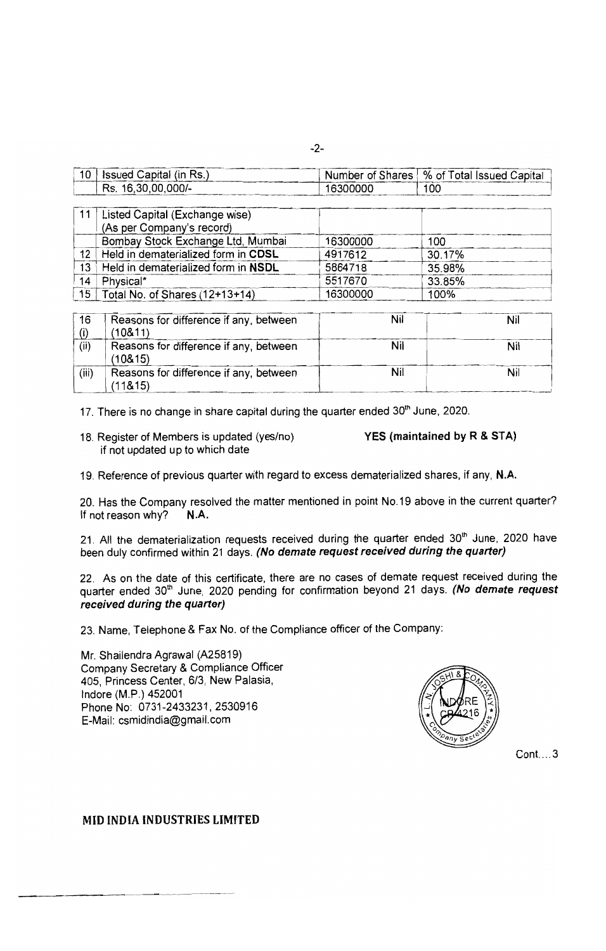|  | ۰   |        |  |
|--|-----|--------|--|
|  | . . | ٠<br>٦ |  |

|  | <b>Issued Capital (in Rs.)</b>   |          | , Number of Shares   % of Total Issued Capital |
|--|----------------------------------|----------|------------------------------------------------|
|  | $\,^{\prime}$ Rs. 16,30,00,000/- | 16300000 | 100                                            |
|  |                                  |          |                                                |

|    | Listed Capital (Exchange wise)      |          |        |  |
|----|-------------------------------------|----------|--------|--|
|    | (As per Company's record)           |          |        |  |
|    | Bombay Stock Exchange Ltd, Mumbai   | 16300000 | 100    |  |
| 12 | Held in dematerialized form in CDSL | 4917612  | 30.17% |  |
| 13 | Held in dematerialized form in NSDL | 5864718  | 35.98% |  |
| 14 | Physical*                           | 5517670  | 33.85% |  |
|    | 15   Total No. of Shares (12+13+14) | 16300000 | 100%   |  |

| 16    | Reasons for difference if any, between<br>(108.11) | Nil | Nil |
|-------|----------------------------------------------------|-----|-----|
| (ii)  | Reasons for difference if any, between<br>(108.15) | Nil | Nil |
| (iii) | Reasons for difference if any, between<br>(118.15) | Nil | Nil |

17. There is no change in share capital during the quarter ended 30<sup>th</sup> June, 2020.

18. Register of Members is updated (yes/no) if not updated up to which date

YES (maintained by R & STA)

19. Reference of previous quarter with regard to excess dematerialized shares, if any, N.A.

20. Has the Company resolved the matter mentioned in point No.19 above in the current quarter? If not reason why? N.A.

21. All the dematerialization requests received during the quarter ended 30th June, 2020 have been duly confirmed within 21 days. (No demate request received during the quarter)

22. As on the date of this certificate, there are no cases of demate request received during the quarter ended 30<sup>th</sup> June, 2020 pending for confirmation beyond 21 days. (No demate request received during the quarter)

23. Name, Telephone & Fax No. of the Compliance officer of the Company:

Mr. Shailendra Agrawal (A25819) Company Secretary & Compliance Officer 405, Princess Center, 6/3, New Palasia. Indore (M.P.) 452001 Phone No: 0731-2433231, 2530916 E-Mail: csmidindia@gmail.com



 $Cont....3$ 

#### **MID INDIA INDUSTRIES LIMITED**